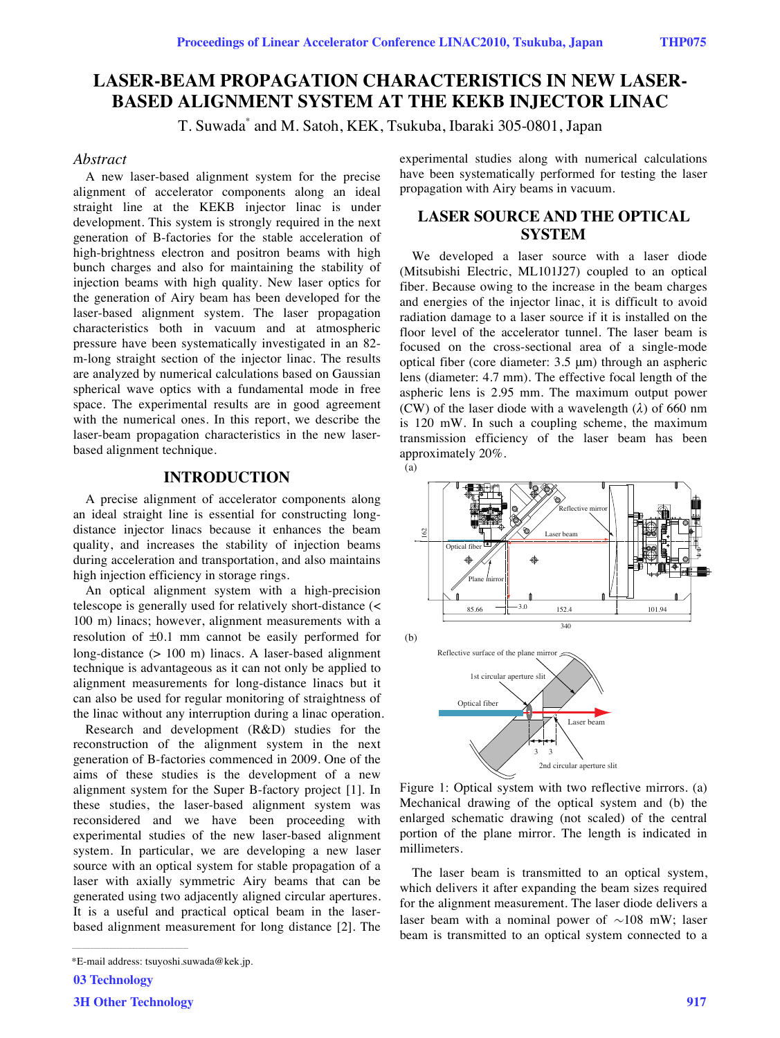# **LASER-BEAM PROPAGATION CHARACTERISTICS IN NEW LASER-BASED ALIGNMENT SYSTEM AT THE KEKB INJECTOR LINAC**

T. Suwada\* and M. Satoh, KEK, Tsukuba, Ibaraki 305-0801, Japan

## *Abstract*

A new laser-based alignment system for the precise alignment of accelerator components along an ideal straight line at the KEKB injector linac is under development. This system is strongly required in the next generation of B-factories for the stable acceleration of high-brightness electron and positron beams with high bunch charges and also for maintaining the stability of injection beams with high quality. New laser optics for the generation of Airy beam has been developed for the laser-based alignment system. The laser propagation characteristics both in vacuum and at atmospheric pressure have been systematically investigated in an 82 m-long straight section of the injector linac. The results are analyzed by numerical calculations based on Gaussian spherical wave optics with a fundamental mode in free space. The experimental results are in good agreement with the numerical ones. In this report, we describe the laser-beam propagation characteristics in the new laserbased alignment technique.

## **INTRODUCTION**

A precise alignment of accelerator components along an ideal straight line is essential for constructing longdistance injector linacs because it enhances the beam quality, and increases the stability of injection beams during acceleration and transportation, and also maintains high injection efficiency in storage rings.

An optical alignment system with a high-precision telescope is generally used for relatively short-distance (< 100 m) linacs; however, alignment measurements with a resolution of ±0.1 mm cannot be easily performed for long-distance (> 100 m) linacs. A laser-based alignment technique is advantageous as it can not only be applied to alignment measurements for long-distance linacs but it can also be used for regular monitoring of straightness of the linac without any interruption during a linac operation.

Research and development (R&D) studies for the reconstruction of the alignment system in the next generation of B-factories commenced in 2009. One of the aims of these studies is the development of a new alignment system for the Super B-factory project [1]. In these studies, the laser-based alignment system was reconsidered and we have been proceeding with experimental studies of the new laser-based alignment system. In particular, we are developing a new laser source with an optical system for stable propagation of a laser with axially symmetric Airy beams that can be generated using two adjacently aligned circular apertures. It is a useful and practical optical beam in the laserbased alignment measurement for long distance [2]. The

03 Technology

experimental studies along with numerical calculations have been systematically performed for testing the laser propagation with Airy beams in vacuum.

## **LASER SOURCE AND THE OPTICAL SYSTEM**

We developed a laser source with a laser diode (Mitsubishi Electric, ML101J27) coupled to an optical fiber. Because owing to the increase in the beam charges and energies of the injector linac, it is difficult to avoid radiation damage to a laser source if it is installed on the floor level of the accelerator tunnel. The laser beam is focused on the cross-sectional area of a single-mode optical fiber (core diameter: 3.5 μm) through an aspheric lens (diameter: 4.7 mm). The effective focal length of the aspheric lens is 2.95 mm. The maximum output power (CW) of the laser diode with a wavelength (*λ*) of 660 nm is 120 mW. In such a coupling scheme, the maximum transmission efficiency of the laser beam has been approximately 20%.



Figure 1: Optical system with two reflective mirrors. (a) Mechanical drawing of the optical system and (b) the enlarged schematic drawing (not scaled) of the central portion of the plane mirror. The length is indicated in millimeters.

The laser beam is transmitted to an optical system, which delivers it after expanding the beam sizes required for the alignment measurement. The laser diode delivers a laser beam with a nominal power of *∼*108 mW; laser beam is transmitted to an optical system connected to a

<sup>\*</sup>E-mail address: tsuyoshi.suwada@kek.jp.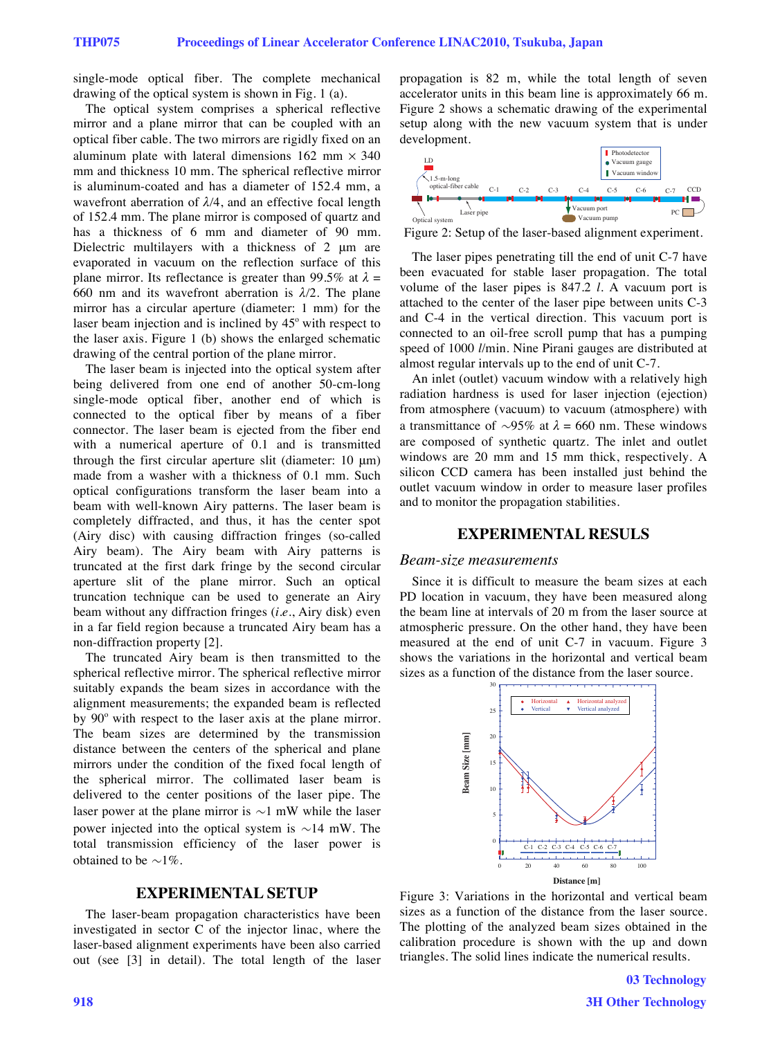single-mode optical fiber. The complete mechanical drawing of the optical system is shown in Fig. 1 (a).

The optical system comprises a spherical reflective mirror and a plane mirror that can be coupled with an optical fiber cable. The two mirrors are rigidly fixed on an aluminum plate with lateral dimensions  $162 \text{ mm} \times 340$ mm and thickness 10 mm. The spherical reflective mirror is aluminum-coated and has a diameter of 152.4 mm, a wavefront aberration of *λ/*4, and an effective focal length of 152.4 mm. The plane mirror is composed of quartz and has a thickness of 6 mm and diameter of 90 mm. Dielectric multilayers with a thickness of 2 μm are evaporated in vacuum on the reflection surface of this plane mirror. Its reflectance is greater than 99.5% at  $\lambda =$ 660 nm and its wavefront aberration is *λ/*2. The plane mirror has a circular aperture (diameter: 1 mm) for the laser beam injection and is inclined by  $45^{\circ}$  with respect to the laser axis. Figure 1 (b) shows the enlarged schematic drawing of the central portion of the plane mirror.

The laser beam is injected into the optical system after being delivered from one end of another 50-cm-long single-mode optical fiber, another end of which is connected to the optical fiber by means of a fiber connector. The laser beam is ejected from the fiber end with a numerical aperture of 0.1 and is transmitted through the first circular aperture slit (diameter: 10 μm) made from a washer with a thickness of 0.1 mm. Such optical configurations transform the laser beam into a beam with well-known Airy patterns. The laser beam is completely diffracted, and thus, it has the center spot (Airy disc) with causing diffraction fringes (so-called Airy beam). The Airy beam with Airy patterns is truncated at the first dark fringe by the second circular aperture slit of the plane mirror. Such an optical truncation technique can be used to generate an Airy beam without any diffraction fringes (*i.e.*, Airy disk) even in a far field region because a truncated Airy beam has a non-diffraction property [2].

The truncated Airy beam is then transmitted to the spherical reflective mirror. The spherical reflective mirror suitably expands the beam sizes in accordance with the alignment measurements; the expanded beam is reflected by 90° with respect to the laser axis at the plane mirror. The beam sizes are determined by the transmission distance between the centers of the spherical and plane mirrors under the condition of the fixed focal length of the spherical mirror. The collimated laser beam is delivered to the center positions of the laser pipe. The laser power at the plane mirror is *∼*1 mW while the laser power injected into the optical system is *∼*14 mW. The total transmission efficiency of the laser power is obtained to be *∼*1%.

### **EXPERIMENTAL SETUP**

The laser-beam propagation characteristics have been investigated in sector C of the injector linac, where the laser-based alignment experiments have been also carried out (see [3] in detail). The total length of the laser propagation is 82 m, while the total length of seven accelerator units in this beam line is approximately 66 m. Figure 2 shows a schematic drawing of the experimental setup along with the new vacuum system that is under development.



Figure 2: Setup of the laser-based alignment experiment.

The laser pipes penetrating till the end of unit C-7 have been evacuated for stable laser propagation. The total volume of the laser pipes is 847.2 *l*. A vacuum port is attached to the center of the laser pipe between units C-3 and C-4 in the vertical direction. This vacuum port is connected to an oil-free scroll pump that has a pumping speed of 1000 *l*/min. Nine Pirani gauges are distributed at almost regular intervals up to the end of unit C-7.

An inlet (outlet) vacuum window with a relatively high radiation hardness is used for laser injection (ejection) from atmosphere (vacuum) to vacuum (atmosphere) with a transmittance of *∼*95% at *λ* = 660 nm. These windows are composed of synthetic quartz. The inlet and outlet windows are 20 mm and 15 mm thick, respectively. A silicon CCD camera has been installed just behind the outlet vacuum window in order to measure laser profiles and to monitor the propagation stabilities.

## **EXPERIMENTAL RESULS**

#### *Beam-size measurements*

Since it is difficult to measure the beam sizes at each PD location in vacuum, they have been measured along the beam line at intervals of 20 m from the laser source at atmospheric pressure. On the other hand, they have been measured at the end of unit C-7 in vacuum. Figure 3 shows the variations in the horizontal and vertical beam sizes as a function of the distance from the laser source.



Figure 3: Variations in the horizontal and vertical beam sizes as a function of the distance from the laser source. The plotting of the analyzed beam sizes obtained in the calibration procedure is shown with the up and down triangles. The solid lines indicate the numerical results.

03 Technology 3H Other Technology